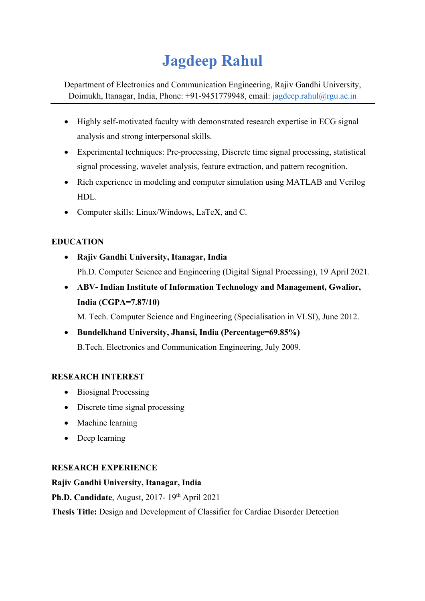# **Jagdeep Rahul**

Department of Electronics and Communication Engineering, Rajiv Gandhi University, Doimukh, Itanagar, India, Phone: +91-9451779948, email: jagdeep.rahul@rgu.ac.in

- Highly self-motivated faculty with demonstrated research expertise in ECG signal analysis and strong interpersonal skills.
- Experimental techniques: Pre-processing, Discrete time signal processing, statistical signal processing, wavelet analysis, feature extraction, and pattern recognition.
- Rich experience in modeling and computer simulation using MATLAB and Verilog HDL.
- Computer skills: Linux/Windows, LaTeX, and C.

# **EDUCATION**

- **Rajiv Gandhi University, Itanagar, India**  Ph.D. Computer Science and Engineering (Digital Signal Processing), 19 April 2021.
- **ABV- Indian Institute of Information Technology and Management, Gwalior, India (CGPA=7.87/10)**

M. Tech. Computer Science and Engineering (Specialisation in VLSI), June 2012.

• **Bundelkhand University, Jhansi, India (Percentage=69.85%)** B.Tech. Electronics and Communication Engineering, July 2009.

# **RESEARCH INTEREST**

- Biosignal Processing
- Discrete time signal processing
- Machine learning
- Deep learning

# **RESEARCH EXPERIENCE**

# **Rajiv Gandhi University, Itanagar, India**

**Ph.D. Candidate**, August, 2017- 19th April 2021

**Thesis Title:** Design and Development of Classifier for Cardiac Disorder Detection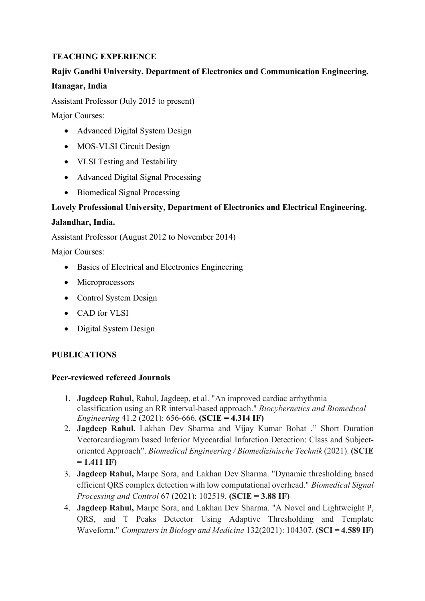## **TEACHING EXPERIENCE**

## **Rajiv Gandhi University, Department of Electronics and Communication Engineering,**

#### **Itanagar, India**

Assistant Professor (July 2015 to present)

Major Courses:

- Advanced Digital System Design
- MOS-VLSI Circuit Design
- VLSI Testing and Testability
- Advanced Digital Signal Processing
- Biomedical Signal Processing

## **Lovely Professional University, Department of Electronics and Electrical Engineering,**

#### **Jalandhar, India.**

Assistant Professor (August 2012 to November 2014)

Major Courses:

- Basics of Electrical and Electronics Engineering
- Microprocessors
- Control System Design
- CAD for VLSI
- Digital System Design

## **PUBLICATIONS**

#### **Peer-reviewed refereed Journals**

- 1. **Jagdeep Rahul,** Rahul, Jagdeep, et al. "An improved cardiac arrhythmia classification using an RR interval-based approach." *Biocybernetics and Biomedical Engineering* 41.2 (2021): 656-666. **(SCIE = 4.314 IF)**
- 2. **Jagdeep Rahul,** Lakhan Dev Sharma and Vijay Kumar Bohat ." Short Duration Vectorcardiogram based Inferior Myocardial Infarction Detection: Class and Subjectoriented Approach". *Biomedical Engineering / Biomedizinische Technik* (2021). **(SCIE = 1.411 IF)**
- 3. **Jagdeep Rahul,** Marpe Sora, and Lakhan Dev Sharma. "Dynamic thresholding based efficient QRS complex detection with low computational overhead." *Biomedical Signal Processing and Control* 67 (2021): 102519. **(SCIE = 3.88 IF)**
- 4. **Jagdeep Rahul,** Marpe Sora, and Lakhan Dev Sharma. "A Novel and Lightweight P, QRS, and T Peaks Detector Using Adaptive Thresholding and Template Waveform." *Computers in Biology and Medicine* 132(2021): 104307. **(SCI = 4.589 IF)**